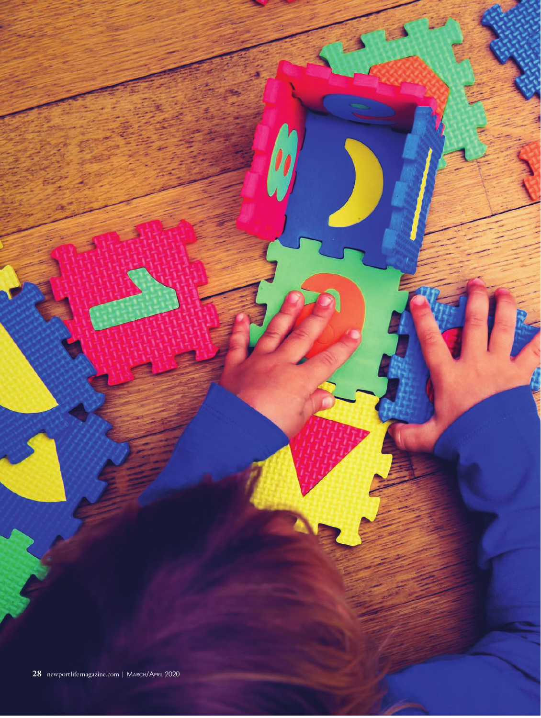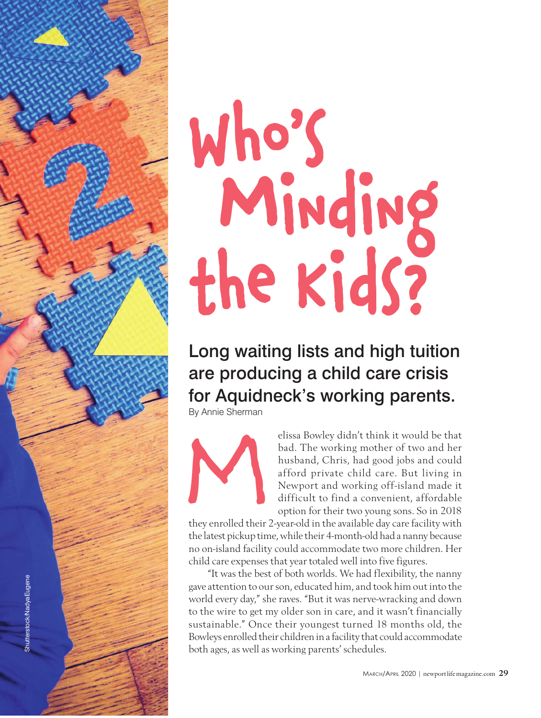## **Who's Minding the Kids?**

## Long waiting lists and high tuition are producing a child care crisis for Aquidneck's working parents.

By Annie Sherman

elissa Bowley didn't think it would be that<br>bad. The working mother of two and her<br>husband, Chris, had good jobs and could<br>afford private child care. But living in<br>Newport and working off-island made it<br>difficult to find a bad. The working mother of two and her husband, Chris, had good jobs and could afford private child care. But living in Newport and working off-island made it difficult to find a convenient, affordable option for their two young sons. So in 2018

they enrolled their 2-year-old in the available day care facility with the latest pickup time, while their 4-month-old had a nanny because no on-island facility could accommodate two more children. Her child care expenses that year totaled well into five figures.

"It was the best of both worlds. We had flexibility, the nanny gave attention to our son, educated him, and took him out into the world every day," she raves. "But it was nerve-wracking and down to the wire to get my older son in care, and it wasn't financially sustainable." Once their youngest turned 18 months old, the Bowleys enrolled their children in a facility that could accommodate both ages, as well as working parents' schedules.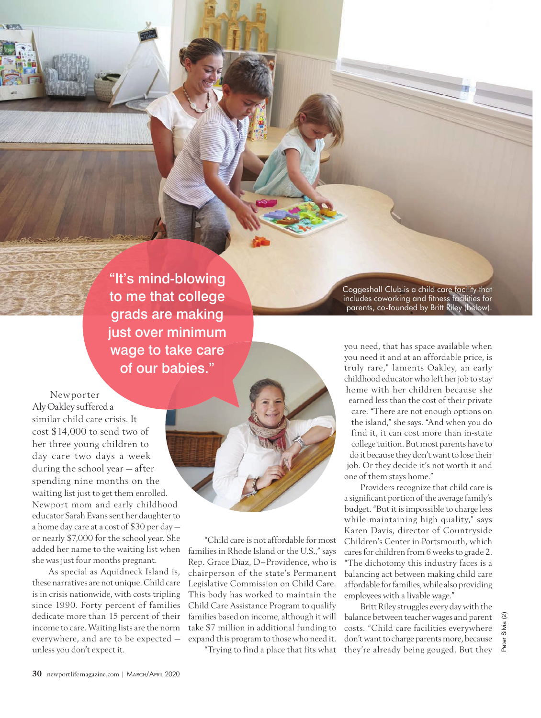"It's mind-blowing to me that college grads are making just over minimum wage to take care of our babies."

Newporter Aly Oakley suffered a similar child care crisis. It cost \$14,000 to send two of her three young children to day care two days a week during the school year — after spending nine months on the waiting list just to get them enrolled. Newport mom and early childhood educator Sarah Evans sent her daughter to a home day care at a cost of \$30 per day or nearly \$7,000 for the school year. She added her name to the waiting list when she was just four months pregnant.

As special as Aquidneck Island is, these narratives are not unique. Child care is in crisis nationwide, with costs tripling since 1990. Forty percent of families dedicate more than 15 percent of their income to care. Waiting lists are the norm everywhere, and are to be expected unless you don't expect it.

"Child care is not affordable for most families in Rhode Island or the U.S.," says Rep. Grace Diaz, D–Providence, who is chairperson of the state's Permanent Legislative Commission on Child Care. This body has worked to maintain the Child Care Assistance Program to qualify families based on income, although it will take \$7 million in additional funding to expand this program to those who need it.

"Trying to find a place that fits what

Coggeshall Club is a child care facility that includes coworking and fitness facilities for parents, co-founded by Britt Riley (below).

you need, that has space available when you need it and at an affordable price, is truly rare," laments Oakley, an early childhood educator who left her job to stay home with her children because she earned less than the cost of their private care. "There are not enough options on the island," she says. "And when you do find it, it can cost more than in-state college tuition. But most parents have to do it because they don't want to lose their job. Or they decide it's not worth it and one of them stays home."

Providers recognize that child care is a significant portion of the average family's budget. "But it is impossible to charge less while maintaining high quality," says Karen Davis, director of Countryside Children's Center in Portsmouth, which cares for children from 6 weeks to grade 2. "The dichotomy this industry faces is a balancing act between making child care affordable for families, while also providing employees with a livable wage."

Britt Riley struggles every day with the balance between teacher wages and parent costs. "Child care facilities everywhere don't want to charge parents more, because they're already being gouged. But they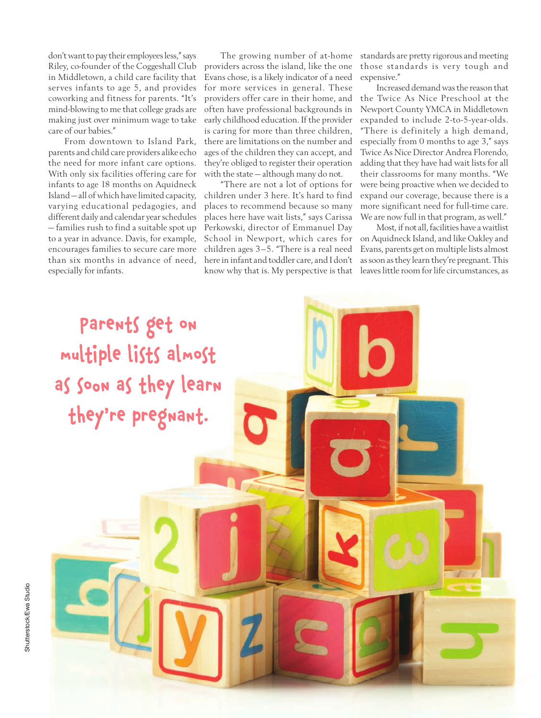don't want to pay their employees less," says Riley, co-founder of the Coggeshall Club in Middletown, a child care facility that serves infants to age 5, and provides coworking and fitness for parents. "It's mind-blowing to me that college grads are making just over minimum wage to take care of our babies."

From downtown to Island Park, parents and child care providers alike echo the need for more infant care options. With only six facilities offering care for infants to age 18 months on Aquidneck Island — all of which have limited capacity, varying educational pedagogies, and different daily and calendar year schedules — families rush to find a suitable spot up to a year in advance. Davis, for example, encourages families to secure care more than six months in advance of need, especially for infants.

The growing number of at-home providers across the island, like the one Evans chose, is a likely indicator of a need for more services in general. These providers offer care in their home, and often have professional backgrounds in early childhood education. If the provider is caring for more than three children, there are limitations on the number and ages of the children they can accept, and they're obliged to register their operation with the state — although many do not.

"There are not a lot of options for children under 3 here. It's hard to find places to recommend because so many places here have wait lists," says Carissa Perkowski, director of Emmanuel Day School in Newport, which cares for children ages 3–5. "There is a real need here in infant and toddler care, and I don't know why that is. My perspective is that standards are pretty rigorous and meeting those standards is very tough and expensive."

Increased demand was the reason that the Twice As Nice Preschool at the Newport County YMCA in Middletown expanded to include 2-to-5-year-olds. "There is definitely a high demand, especially from 0 months to age 3," says Twice As Nice Director Andrea Florendo, adding that they have had wait lists for all their classrooms for many months. "We were being proactive when we decided to expand our coverage, because there is a more significant need for full-time care. We are now full in that program, as well."

Most, if not all, facilities have a waitlist on Aquidneck Island, and like Oakley and Evans, parents get on multiple lists almost as soon as they learn they're pregnant. This leaves little room for life circumstances, as

**Parents get on multiple lists almost as soon as they learn they're pregnant.**

**30** newportlife magazine.com | MARCH/APRIL 2020 MARCH/APRIL 2020 | newportlife magazine.com **31**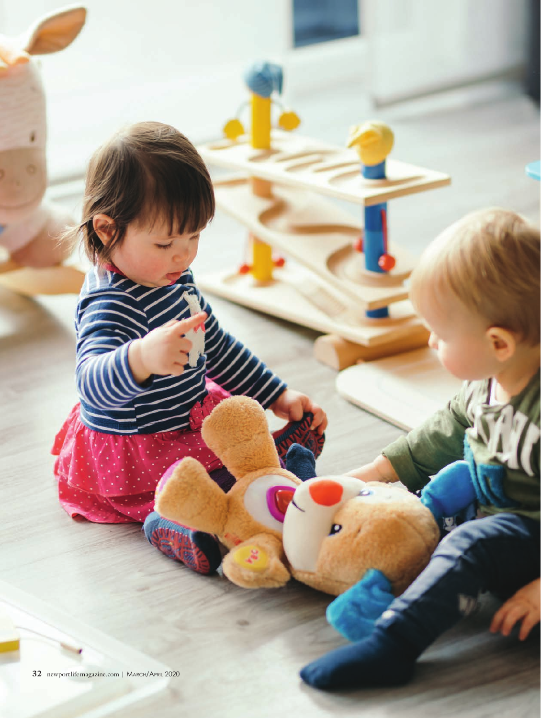newportlife magazine.com | MARCH/APRIL 2020